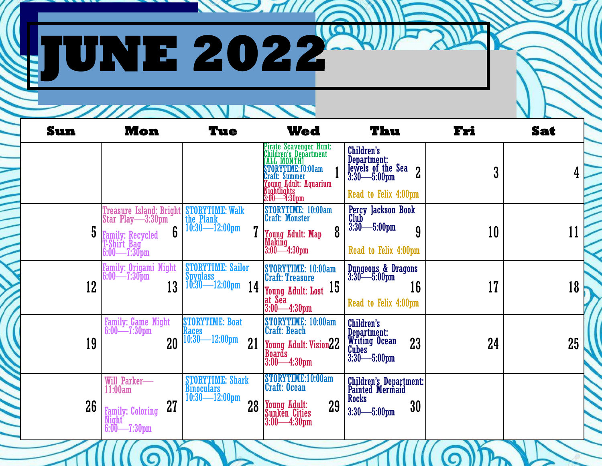## **JUNE 2022**

**Sun Mon Tue Wed Thu Fri Sat**   $1$   $\begin{array}{|c|c|c|c|c|}\n\hline 3:30 & -5:00 \text{pm} & 2 & 3 & 4\n\end{array}$  $5$   $\frac{1}{2}$   $\frac{1}{2}$   $\frac{1}{2}$   $\frac{10 \cdot 30 - 12 \cdot 00 \cdot 100}{11}$   $\frac{1}{2}$   $\frac{1}{2}$   $\frac{1}{2}$   $\frac{1}{2}$   $\frac{1}{2}$   $\frac{1}{2}$   $\frac{1}{2}$   $\frac{1}{2}$   $\frac{1}{2}$   $\frac{1}{2}$   $\frac{1}{2}$   $\frac{1}{2}$   $\frac{1}{2}$   $\frac{1}{2}$   $\frac{1}{2}$   $\frac{1$  $\begin{array}{|c|c|c|c|c|c|}\n\hline\n12 & 13 & 10:30 & -12:00 \,\text{pm} & 14 & \text{Young Adult: Lost} & 15 & 16 & 17 & 17\n\end{array}$  $20$   $\frac{|10:30|}{21}$   $\frac{12:00 \text{pm}}{21}$   $\frac{1}{20}$   $\frac{1}{21}$   $\frac{1}{20}$  and  $\frac{1}{22}$   $\frac{1}{23}$   $\frac{1}{24}$   $\frac{1}{25}$   $\frac{1}{25}$  $26$   $_{\rm Family: Coloring}$   $27$   $_{\rm 23}$   $_{\rm 24}$   $28$   $_{\rm Sunken}$   $_{\rm City}$   $29$   $_{\rm 3:30}$  5:00nm  $30$ Pirate Scavenger Hunt: Children's Department [ALL MONTH] STORYTIME:10:00am Craft: Summer Young Adult: Aquarium Nightlights 3:00—4:30pm Children's Department: 3:30—5:00pm Read to Felix 4:00pm Treasure Island: Bright Star Play—3:30pm Family: Recycled T-Shirt Bag 6:00—7:30pm STORYTIME: Walk the Plank 10:30—12:00pm STORYTIME: 10:00am Craft: Monster Young Adult: Map Making 3:00—4:30pm Percy Jackson Book Club 3:30—5:00pm Read to Felix 4:00pm Family: Origami Night 6:00—7:30pm STORYTIME: Sailor Spyglass<br>| 10:30- $-12:00$ pm STORYTIME: 10:00am Craft: Treasure at Sea 3:00—4:30pm Dungeons & Dragons 3:30—5:00pm Read to Felix 4:00pm Family: Game Night 6:00—7:30pm STORYTIME: Boat Races 10:30—12:00pm STORYTIME: 10:00am Craft: Beach **Boards** 3:00—4:30pm Children's Department: Writing Ocean **Cubes** 3:30—5:00pm Will Parker— 11:00am Family: Coloring Night 6:00—7:30pm STORYTIME: Shark Binoculars 10:30—12:00pm STORYTIME:10:00am Craft: Ocean Young Adult: Sunken Cities 3:00—4:30pm Children's Department: Painted Mermaid **Rocks** 3:30—5:00pm

 $\bigotimes$ ,  $\pi$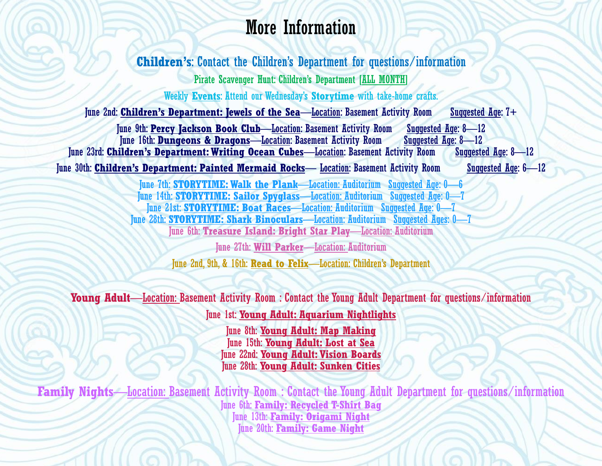## More Information

**Children's**: Contact the Children's Department for questions/information Pirate Scavenger Hunt: Children's Department [ALL MONTH] Weekly **Events**: Attend our Wednesday's **Storytime** with take-home crafts. June 2nd: **Children's Department: Jewels of the Sea**—Location: Basement Activity Room Suggested Age: 7+ June 9th: **Percy Jackson Book Club**—Location: Basement Activity Room Suggested Age: 8—12 June 16th: **Dungeons & Dragons**—Location: Basement Activity Room June 23rd: **Children's Department: Writing Ocean Cubes**—Location: Basement Activity Room Suggested Age: 8—12 June 30th: **Children's Department: Painted Mermaid Rocks**— Location: Basement Activity Room Suggested Age: 6—12

> June 7th: **STORYTIME: Walk the Plank**—Location: Auditorium Suggested Age: 0—6 June 14th: **STORYTIME: Sailor Spyglass**—Location: Auditorium Suggested Age: 0—7 June 21st: **STORYTIME: Boat Races**—Location: Auditorium Suggested Age: 0—7 June 28th: **STORYTIME: Shark Binoculars**—Location: Auditorium Suggested Ages: 0—7 June 6th: **Treasure Island: Bright Star Play**—Location: Auditorium

June 27th: **Will Parker**—Location: Auditorium June 2nd, 9th, & 16th: **Read to Felix**—Location: Children's Department

**Young Adult**—Location: Basement Activity Room : Contact the Young Adult Department for questions/information

June 1st: **Young Adult: Aquarium Nightlights**

June 8th: **Young Adult: Map Making** June 15th: **Young Adult: Lost at Sea** June 22nd: **Young Adult: Vision Boards** June 28th: **Young Adult: Sunken Cities**

**Family Nights**—Location: Basement Activity Room : Contact the Young Adult Department for questions/information June 6th: **Family: Recycled T-Shirt Bag** June 13th: **Family: Origami Night** June 20th: **Family: Game Night**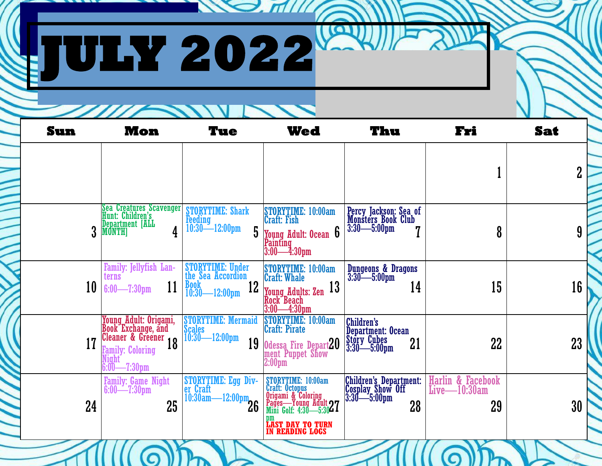|     | UIW 2022                                                                 |                                                                                    |                                                                                                                                                                                                                                                        |                                                                 |                                            |            |
|-----|--------------------------------------------------------------------------|------------------------------------------------------------------------------------|--------------------------------------------------------------------------------------------------------------------------------------------------------------------------------------------------------------------------------------------------------|-----------------------------------------------------------------|--------------------------------------------|------------|
| Sun | <b>Mon</b>                                                               | Tue                                                                                | Wed                                                                                                                                                                                                                                                    | Thu                                                             | Fri                                        | <b>Sat</b> |
|     |                                                                          |                                                                                    |                                                                                                                                                                                                                                                        |                                                                 |                                            |            |
|     | Sea Creatures Scavenger<br>Hunt: Children's<br>Department [ALL<br>MONTH] | <b>STORYTIME: Shark</b><br><b>Feeding</b><br>$-12:00 \text{pm}$<br>$10:30-$<br>5   | STORYTIME: 10:00am<br>Craft: Fish<br>Young Adult: Ocean 6<br>Painting<br>3:00—4:30pm                                                                                                                                                                   | Percy Jackson: Sea of<br>Monsters Book Club<br>3:30—5:00pm      | 8                                          |            |
| 10  | Family: Jellyfish Lan-<br>terns<br>11<br>$6:00$ - 7:30pm                 | STORYTIME: Under<br>the Sea Accordion<br><b>Book</b><br>12<br>10:30<br>$-12:00$ pm | STORYTIME: 10:00am<br>Craft: Whale<br>13<br>Young Adults: Zen<br>Rock Beach<br>3:00—4:30pm                                                                                                                                                             | Dungeons & Dragons<br>3:30—5:00pm<br>14                         | 15                                         |            |
|     |                                                                          |                                                                                    | Voung Adult: Origami, STORYTIME: Mermaid STORYTIME: 10:00am<br>Book Exchange, and<br>Cleaner & Greener 18 10:30—12:00pm<br>Pamily: Coloring 18 19 10:30—12:00pm<br>2:00pm<br>2:00pm<br>2:00pm<br>2:00pm<br>2:00pm<br>2:00pm<br>2:00pm<br>2:00pm<br>2:0 | <b>Department: Ocean</b><br>21                                  | 22                                         |            |
| 24  | Family: Game Night<br>$6:00 \rightarrow 7:30 \text{pm}$<br>25            | STORYTIME: Egg Div-<br>er Craft<br>10:30am-<br>$-12:00 \text{pm}$<br>$26$          | STORYTIME: 10:00am<br>Craft: Octopus<br>Origami & Coloring<br>Pages—Young Adult 27<br>Mini Golf: 4:30—5:3027<br><b>DM</b><br><b>LAST DAY TO TURN</b><br><b>IN READING LOGS</b>                                                                         | Children's Department:<br>Cosplay Show Off<br>3:30—5:00pm<br>28 | Harlin & Facebook<br>$Live$ -10:30am<br>29 |            |

 $\bigcirc$ 

 $\Box$ 

 $\bigcirc$